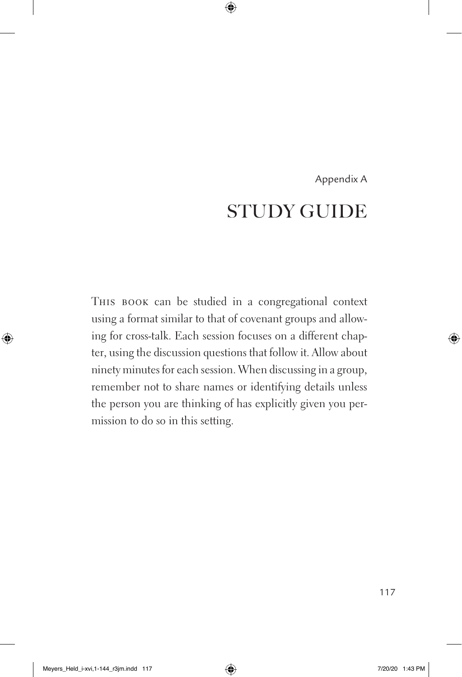## Appendix A STUDY GUIDE

This book can be studied in a congregational context using a format similar to that of covenant groups and allowing for cross-talk. Each session focuses on a different chapter, using the discussion questions that follow it. Allow about ninety minutes for each session. When discussing in a group, remember not to share names or identifying details unless the person you are thinking of has explicitly given you permission to do so in this setting.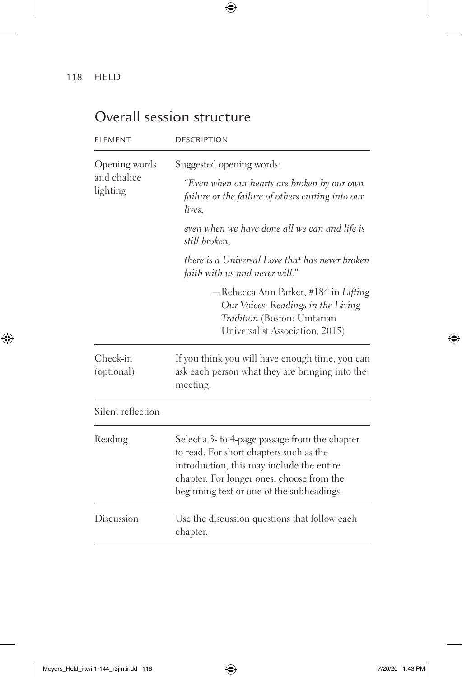## Overall session structure

| <b>ELEMENT</b>                           | <b>DESCRIPTION</b>                                                                                                                                                                                                               |
|------------------------------------------|----------------------------------------------------------------------------------------------------------------------------------------------------------------------------------------------------------------------------------|
| Opening words<br>and chalice<br>lighting | Suggested opening words:                                                                                                                                                                                                         |
|                                          | "Even when our hearts are broken by our own<br>failure or the failure of others cutting into our<br>lives.                                                                                                                       |
|                                          | even when we have done all we can and life is<br>still broken,                                                                                                                                                                   |
|                                          | there is a Universal Love that has never broken<br>faith with us and never will."                                                                                                                                                |
|                                          | -Rebecca Ann Parker, #184 in Lifting<br>Our Voices: Readings in the Living<br>Tradition (Boston: Unitarian<br>Universalist Association, 2015)                                                                                    |
| Check-in<br>(optional)                   | If you think you will have enough time, you can<br>ask each person what they are bringing into the<br>meeting.                                                                                                                   |
| Silent reflection                        |                                                                                                                                                                                                                                  |
| Reading                                  | Select a 3- to 4-page passage from the chapter<br>to read. For short chapters such as the<br>introduction, this may include the entire<br>chapter. For longer ones, choose from the<br>beginning text or one of the subheadings. |
| Discussion                               | Use the discussion questions that follow each<br>chapter.                                                                                                                                                                        |